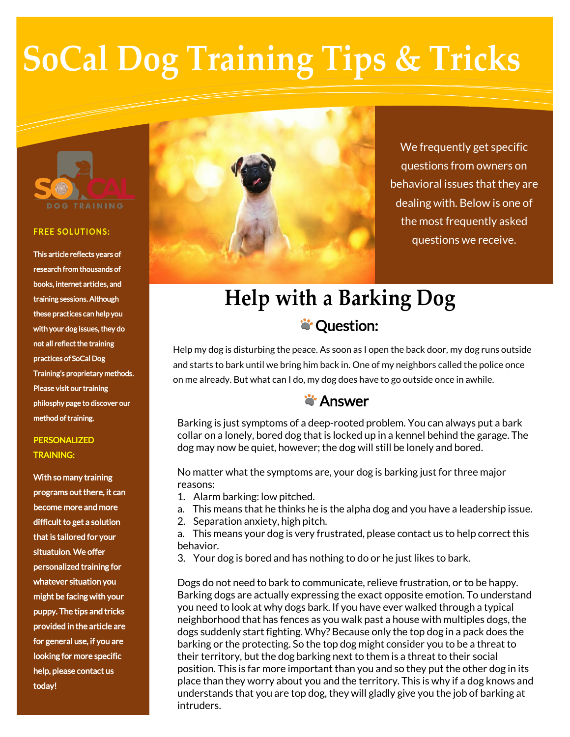# **SoCal Dog Training Tips & Tricks**



#### **FREE SOLUTIONS:**

This article reflects years of research from thousands of books, internet articles, and training sessions. Although these practices can help you with your dog issues, they do not all reflect the training practices of SoCal Dog Training's proprietary methods. Please visit our training philosphy page to discover our method of training.

#### **PERSONALIZED** TRAINING:

With so many training programs out there, it can become more and more difficult to get a solution that is tailored for your situatuion. We offer personalized training for whatever situation you might be facing with your puppy. The tips and tricks provided in the article are for general use, if you are looking for more specific help, please contact us today!



We frequently get specific questions from owners on behavioral issues that they are dealing with. Below is one of the most frequently asked questions we receive.

## **Help with a Barking Dog S**: Question:

Help my dog is disturbing the peace. As soon as I open the back door, my dog runs outside and starts to bark until we bring him back in. One of my neighbors called the police once on me already. But what can I do, my dog does have to go outside once in awhile.

### **S** Answer

Barking is just symptoms of a deep-rooted problem. You can always put a bark collar on a lonely, bored dog that is locked up in a kennel behind the garage. The dog may now be quiet, however; the dog will still be lonely and bored.

No matter what the symptoms are, your dog is barking just for three major reasons:

- 1. Alarm barking: low pitched.
- a. This means that he thinks he is the alpha dog and you have a leadership issue.
- 2. Separation anxiety, high pitch.

a. This means your dog is very frustrated, please contact us to help correct this behavior.

3. Your dog is bored and has nothing to do or he just likes to bark.

Dogs do not need to bark to communicate, relieve frustration, or to be happy. Barking dogs are actually expressing the exact opposite emotion. To understand you need to look at why dogs bark. If you have ever walked through a typical neighborhood that has fences as you walk past a house with multiples dogs, the dogs suddenly start fighting. Why? Because only the top dog in a pack does the barking or the protecting. So the top dog might consider you to be a threat to their territory, but the dog barking next to them is a threat to their social position. This is far more important than you and so they put the other dog in its place than they worry about you and the territory. This is why if a dog knows and understands that you are top dog, they will gladly give you the job of barking at intruders.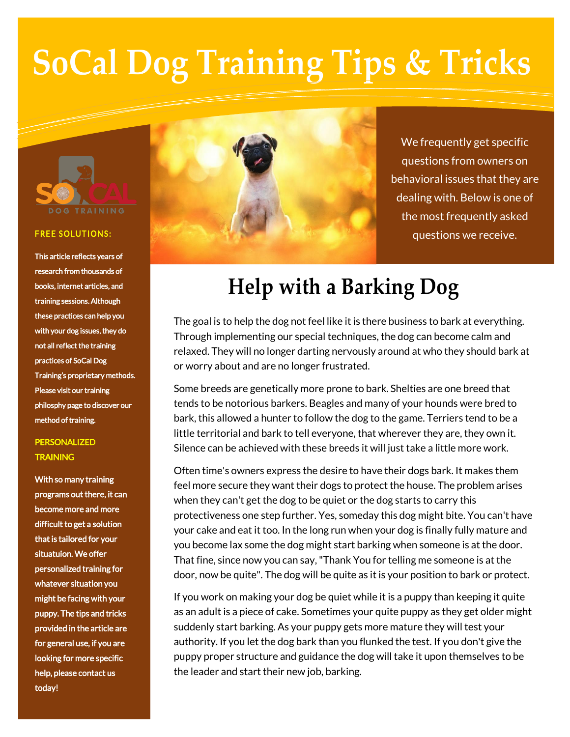# **SoCal Dog Training Tips & Tricks**



#### **FREE SOLUTIONS:**

This article reflects years of research from thousands of books, internet articles, and training sessions. Although these practices can help you with your dog issues, they do not all reflect the training practices of SoCal Dog Training's proprietary methods. Please visit our training philosphy page to discover our method of training.

### PERSONALIZED **TRAINING**

With so many training programs out there, it can become more and more difficult to get a solution that is tailored for your situatuion. We offer personalized training for whatever situation you might be facing with your puppy. The tips and tricks provided in the article are for general use, if you are looking for more specific help, please contact us today!



We frequently get specific questions from owners on behavioral issues that they are dealing with. Below is one of the most frequently asked questions we receive.

## **Help with a Barking Dog**

The goal is to help the dog not feel like it is there business to bark at everything. Through implementing our special techniques, the dog can become calm and relaxed. They will no longer darting nervously around at who they should bark at or worry about and are no longer frustrated.

Some breeds are genetically more prone to bark. Shelties are one breed that tends to be notorious barkers. Beagles and many of your hounds were bred to bark, this allowed a hunter to follow the dog to the game. Terriers tend to be a little territorial and bark to tell everyone, that wherever they are, they own it. Silence can be achieved with these breeds it will just take a little more work.

Often time's owners express the desire to have their dogs bark. It makes them feel more secure they want their dogs to protect the house. The problem arises when they can't get the dog to be quiet or the dog starts to carry this protectiveness one step further. Yes, someday this dog might bite. You can't have your cake and eat it too. In the long run when your dog is finally fully mature and you become lax some the dog might start barking when someone is at the door. That fine, since now you can say, "Thank You for telling me someone is at the door, now be quite". The dog will be quite as it is your position to bark or protect.

If you work on making your dog be quiet while it is a puppy than keeping it quite as an adult is a piece of cake. Sometimes your quite puppy as they get older might suddenly start barking. As your puppy gets more mature they will test your authority. If you let the dog bark than you flunked the test. If you don't give the puppy proper structure and guidance the dog will take it upon themselves to be the leader and start their new job, barking.